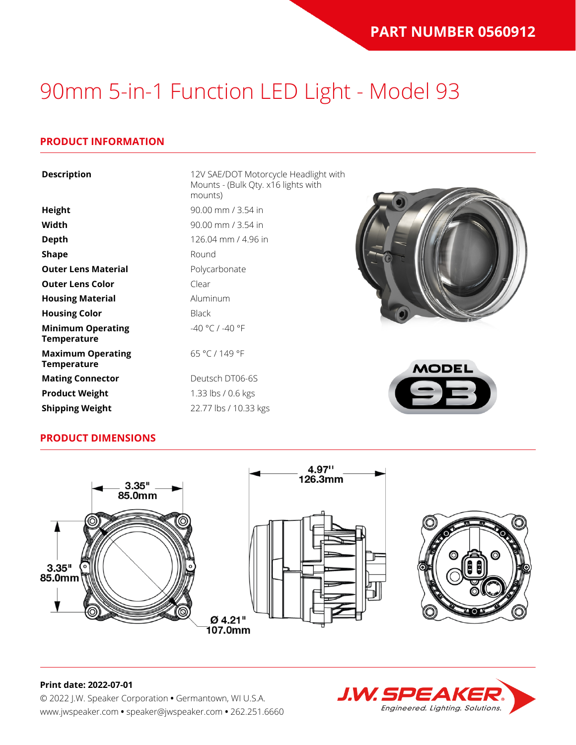#### **PRODUCT INFORMATION**

| <b>Description</b>                             | 12V SAE/DOT Motorcycle Headlight with<br>Mounts - (Bulk Qty. x16 lights with<br>mounts) |              |
|------------------------------------------------|-----------------------------------------------------------------------------------------|--------------|
| <b>Height</b>                                  | 90.00 mm / 3.54 in                                                                      |              |
| Width                                          | 90.00 mm / 3.54 in                                                                      |              |
| <b>Depth</b>                                   | 126.04 mm / 4.96 in                                                                     |              |
| <b>Shape</b>                                   | Round                                                                                   |              |
| <b>Outer Lens Material</b>                     | Polycarbonate                                                                           |              |
| <b>Outer Lens Color</b>                        | Clear                                                                                   |              |
| <b>Housing Material</b>                        | Aluminum                                                                                |              |
| <b>Housing Color</b>                           | <b>Black</b>                                                                            |              |
| <b>Minimum Operating</b><br><b>Temperature</b> | $-40 °C / -40 °F$                                                                       |              |
| <b>Maximum Operating</b><br><b>Temperature</b> | 65 °C / 149 °F                                                                          | <b>MODEL</b> |
| <b>Mating Connector</b>                        | Deutsch DT06-6S                                                                         |              |
| <b>Product Weight</b>                          | 1.33 lbs / 0.6 kgs                                                                      | $\equiv$     |
| <b>Shipping Weight</b>                         | 22.77 lbs / 10.33 kgs                                                                   |              |

#### **PRODUCT DIMENSIONS**





### **J.W. SPEAK** Engineered. Lighting. Solutions.

#### **Print date: 2022-07-01**

© 2022 J.W. Speaker Corporation **•** Germantown, WI U.S.A. www.jwspeaker.com **•** speaker@jwspeaker.com **•** 262.251.6660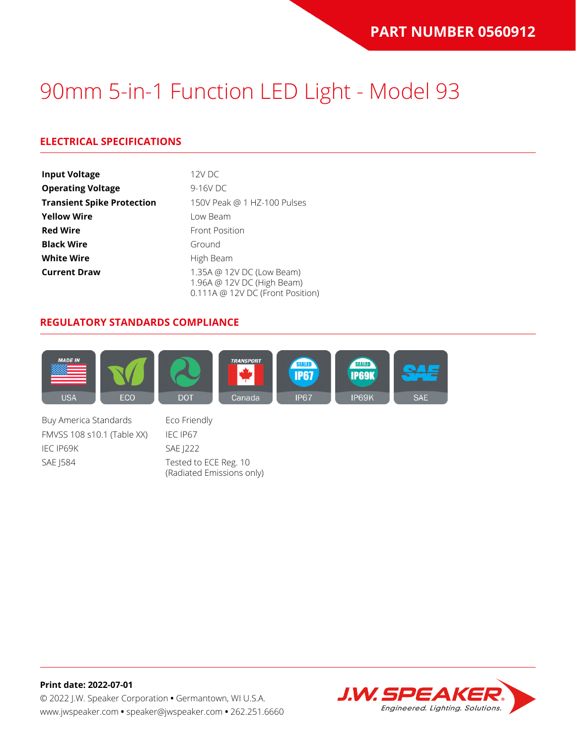### **ELECTRICAL SPECIFICATIONS**

| <b>Input Voltage</b>              | 12V DC                                                                                      |
|-----------------------------------|---------------------------------------------------------------------------------------------|
| <b>Operating Voltage</b>          | 9-16V DC                                                                                    |
| <b>Transient Spike Protection</b> | 150V Peak @ 1 HZ-100 Pulses                                                                 |
| <b>Yellow Wire</b>                | Low Beam                                                                                    |
| <b>Red Wire</b>                   | <b>Front Position</b>                                                                       |
| <b>Black Wire</b>                 | Ground                                                                                      |
| <b>White Wire</b>                 | High Beam                                                                                   |
| <b>Current Draw</b>               | 1.35A @ 12V DC (Low Beam)<br>1.96A @ 12V DC (High Beam)<br>0.111A @ 12V DC (Front Position) |

#### **REGULATORY STANDARDS COMPLIANCE**



Buy America Standards Eco Friendly FMVSS 108 s10.1 (Table XX) IEC IP67 IEC IP69K SAE J222 SAE J584 Tested to ECE Reg. 10

(Radiated Emissions only)

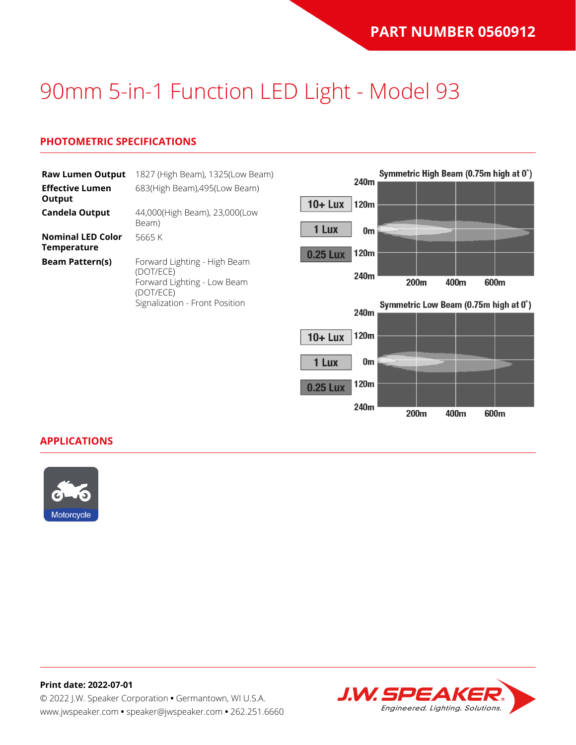#### **PHOTOMETRIC SPECIFICATIONS**

| <b>Raw Lumen Output</b><br><b>Effective Lumen</b> | 1827 (High Beam), 1325(Low Beam)<br>683(High Beam), 495(Low Beam)                     | 240m                                   | Symmetric High Beam (0.75m high at 0°) |
|---------------------------------------------------|---------------------------------------------------------------------------------------|----------------------------------------|----------------------------------------|
| Output<br><b>Candela Output</b>                   | 44,000(High Beam), 23,000(Low<br>Beam)                                                | $10 +$ Lux<br>120m                     |                                        |
| <b>Nominal LED Color</b><br>Temperature           | 5665K                                                                                 | 1 Lux<br>0m<br>120m<br><b>0.25 Lux</b> |                                        |
| <b>Beam Pattern(s)</b>                            | Forward Lighting - High Beam<br>(DOT/ECE)<br>Forward Lighting - Low Beam<br>(DOT/ECE) | 240m                                   | 200m<br>400m<br>600m                   |
|                                                   | Signalization - Front Position                                                        | 240m                                   | Symmetric Low Beam (0.75m high at 0°)  |
|                                                   |                                                                                       | 120m<br>$10 +$ Lux                     |                                        |
|                                                   |                                                                                       | 1 Lux<br>0m                            |                                        |

120m

240m

200m

400m

600m

0.25 Lux

**APPLICATIONS**



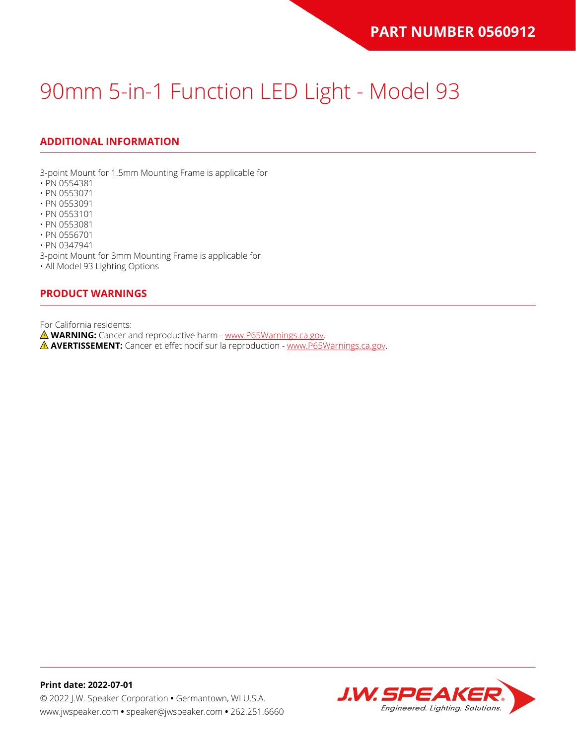### **ADDITIONAL INFORMATION**

3-point Mount for 1.5mm Mounting Frame is applicable for

- PN 0554381
- PN 0553071
- PN 0553091
- PN 0553101
- PN 0553081
- PN 0556701

• PN 0347941

3-point Mount for 3mm Mounting Frame is applicable for

• All Model 93 Lighting Options

#### **PRODUCT WARNINGS**

For California residents:

**WARNING:** Cancer and reproductive harm - [www.P65Warnings.ca.gov](https://www.p65warnings.ca.gov/).

**AVERTISSEMENT:** Cancer et effet nocif sur la reproduction - [www.P65Warnings.ca.gov.](https://www.p65warnings.ca.gov/)

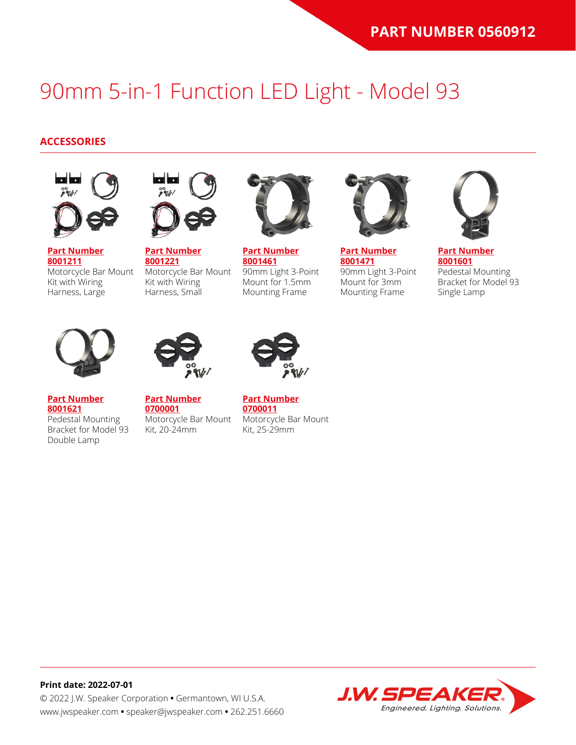#### **ACCESSORIES**



**[Part Number](https://www.jwspeaker.com/products/90mm-headlights-model-93/8001211/) [8001211](https://www.jwspeaker.com/products/90mm-headlights-model-93/8001211/)** Motorcycle Bar Mount Kit with Wiring Harness, Large



**[Part Number](https://www.jwspeaker.com/products/90mm-headlights-model-93/8001221/) [8001221](https://www.jwspeaker.com/products/90mm-headlights-model-93/8001221/)** Motorcycle Bar Mount Kit with Wiring Harness, Small



**[Part Number](https://www.jwspeaker.com/products/90mm-headlights-model-93/8001461/) [8001461](https://www.jwspeaker.com/products/90mm-headlights-model-93/8001461/)** 90mm Light 3-Point Mount for 1.5mm Mounting Frame



**[Part Number](https://www.jwspeaker.com/products/90mm-headlights-model-93/8001471/) [8001471](https://www.jwspeaker.com/products/90mm-headlights-model-93/8001471/)** 90mm Light 3-Point Mount for 3mm Mounting Frame



**[Part Number](https://www.jwspeaker.com/products/90mm-headlights-model-93/8001601/) [8001601](https://www.jwspeaker.com/products/90mm-headlights-model-93/8001601/)** Pedestal Mounting Bracket for Model 93 Single Lamp



**[Part Number](https://www.jwspeaker.com/products/90mm-headlights-model-93/8001621/) [8001621](https://www.jwspeaker.com/products/90mm-headlights-model-93/8001621/)**

Double Lamp



**[Part Number](https://www.jwspeaker.com/?post_type=part&p=26513&preview=true) [0700001](https://www.jwspeaker.com/?post_type=part&p=26513&preview=true)** Pedestal Mounting Bracket for Model 93 Motorcycle Bar Mount Kit, 20-24mm



**[Part Number](https://www.jwspeaker.com/?post_type=part&p=26512&preview=true) [0700011](https://www.jwspeaker.com/?post_type=part&p=26512&preview=true)** Motorcycle Bar Mount Kit, 25-29mm